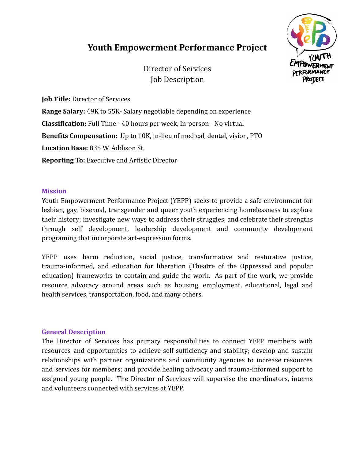# **Youth Empowerment Performance Project**

Director of Services Job Description



**Job Title:** Director of Services

**Range Salary:** 49K to 55K- Salary negotiable depending on experience **Classification:** Full-Time - 40 hours per week, In-person - No virtual **Benefits Compensation:** Up to 10K, in-lieu of medical, dental, vision, PTO **Location Base:** 835 W. Addison St. **Reporting To:** Executive and Artistic Director

## **Mission**

Youth Empowerment Performance Project (YEPP) seeks to provide a safe environment for lesbian, gay, bisexual, transgender and queer youth experiencing homelessness to explore their history; investigate new ways to address their struggles; and celebrate their strengths through self development, leadership development and community development programing that incorporate art-expression forms.

YEPP uses harm reduction, social justice, transformative and restorative justice, trauma-informed, and education for liberation (Theatre of the Oppressed and popular education) frameworks to contain and guide the work. As part of the work, we provide resource advocacy around areas such as housing, employment, educational, legal and health services, transportation, food, and many others.

# **General Description**

The Director of Services has primary responsibilities to connect YEPP members with resources and opportunities to achieve self-sufficiency and stability; develop and sustain relationships with partner organizations and community agencies to increase resources and services for members; and provide healing advocacy and trauma-informed support to assigned young people. The Director of Services will supervise the coordinators, interns and volunteers connected with services at YEPP.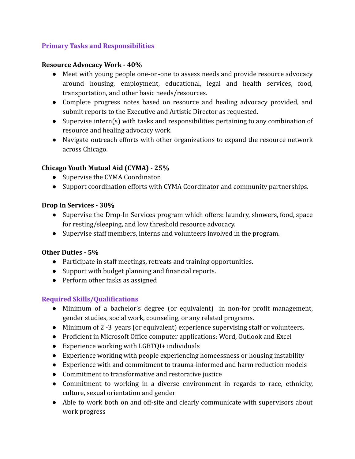# **Primary Tasks and Responsibilities**

#### **Resource Advocacy Work - 40%**

- Meet with young people one-on-one to assess needs and provide resource advocacy around housing, employment, educational, legal and health services, food, transportation, and other basic needs/resources.
- Complete progress notes based on resource and healing advocacy provided, and submit reports to the Executive and Artistic Director as requested.
- Supervise intern(s) with tasks and responsibilities pertaining to any combination of resource and healing advocacy work.
- Navigate outreach efforts with other organizations to expand the resource network across Chicago.

# **Chicago Youth Mutual Aid (CYMA) - 25%**

- Supervise the CYMA Coordinator.
- Support coordination efforts with CYMA Coordinator and community partnerships.

## **Drop In Services - 30%**

- Supervise the Drop-In Services program which offers: laundry, showers, food, space for resting/sleeping, and low threshold resource advocacy.
- Supervise staff members, interns and volunteers involved in the program.

#### **Other Duties - 5%**

- Participate in staff meetings, retreats and training opportunities.
- Support with budget planning and financial reports.
- Perform other tasks as assigned

# **Required Skills/Qualifications**

- Minimum of a bachelor's degree (or equivalent) in non-for profit management, gender studies, social work, counseling, or any related programs.
- Minimum of 2 -3 years (or equivalent) experience supervising staff or volunteers.
- Proficient in Microsoft Office computer applications: Word, Outlook and Excel
- Experience working with LGBTQI+ individuals
- Experience working with people experiencing homeessness or housing instability
- Experience with and commitment to trauma-informed and harm reduction models
- Commitment to transformative and restorative justice
- Commitment to working in a diverse environment in regards to race, ethnicity, culture, sexual orientation and gender
- Able to work both on and off-site and clearly communicate with supervisors about work progress